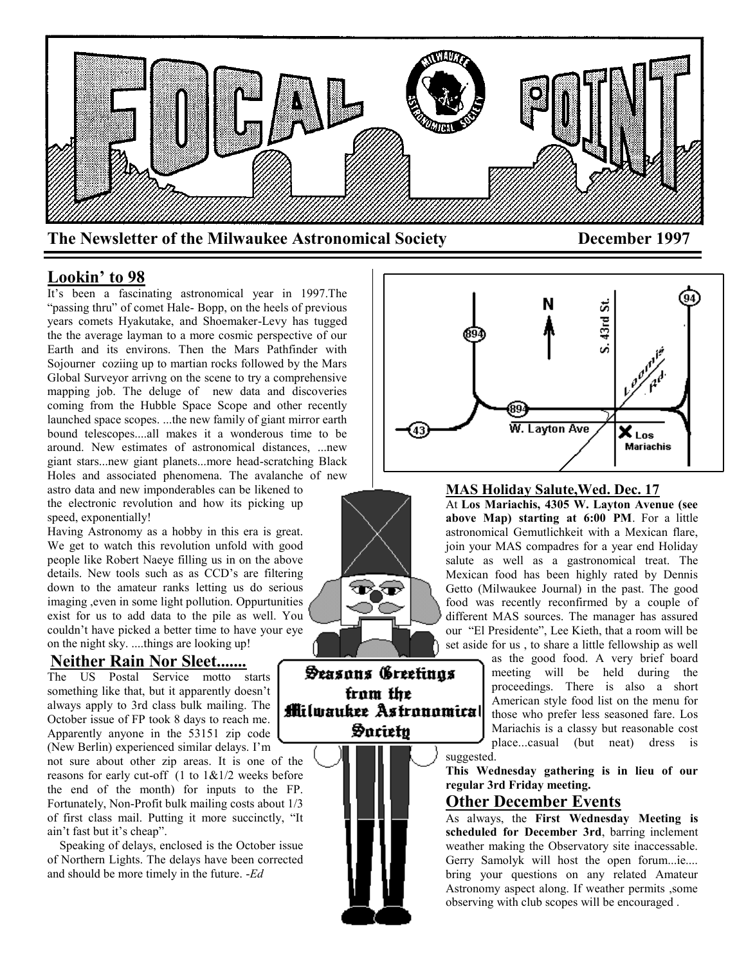

## **Lookin' to 98**

It's been a fascinating astronomical year in 1997.The "passing thru" of comet Hale- Bopp, on the heels of previous years comets Hyakutake, and Shoemaker-Levy has tugged the the average layman to a more cosmic perspective of our Earth and its environs. Then the Mars Pathfinder with Sojourner coziing up to martian rocks followed by the Mars Global Surveyor arrivng on the scene to try a comprehensive mapping job. The deluge of new data and discoveries coming from the Hubble Space Scope and other recently launched space scopes. ...the new family of giant mirror earth bound telescopes....all makes it a wonderous time to be around. New estimates of astronomical distances, ...new giant stars...new giant planets...more head-scratching Black Holes and associated phenomena. The avalanche of new

astro data and new imponderables can be likened to the electronic revolution and how its picking up speed, exponentially!

Having Astronomy as a hobby in this era is great. We get to watch this revolution unfold with good people like Robert Naeye filling us in on the above details. New tools such as as CCD's are filtering down to the amateur ranks letting us do serious imaging ,even in some light pollution. Oppurtunities exist for us to add data to the pile as well. You couldn't have picked a better time to have your eye on the night sky. ....things are looking up!

### **Neither Rain Nor Sleet.......**

The US Postal Service motto starts something like that, but it apparently doesn't always apply to 3rd class bulk mailing. The October issue of FP took 8 days to reach me. Apparently anyone in the 53151 zip code (New Berlin) experienced similar delays. I'm

not sure about other zip areas. It is one of the reasons for early cut-off  $(1 \text{ to } 1 \& 1/2)$  weeks before the end of the month) for inputs to the FP. Fortunately, Non-Profit bulk mailing costs about 1/3 of first class mail. Putting it more succinctly, "It ain't fast but it's cheap".

 Speaking of delays, enclosed is the October issue of Northern Lights. The delays have been corrected and should be more timely in the future. -*Ed*



Seasons Greetings fram the **M**ilwaukee Astronomical Saciety

**MAS Holiday Salute,Wed. Dec. 17** At **Los Mariachis, 4305 W. Layton Avenue (see above Map) starting at 6:00 PM**. For a little astronomical Gemutlichkeit with a Mexican flare, join your MAS compadres for a year end Holiday salute as well as a gastronomical treat. The Mexican food has been highly rated by Dennis Getto (Milwaukee Journal) in the past. The good food was recently reconfirmed by a couple of different MAS sources. The manager has assured our "El Presidente", Lee Kieth, that a room will be set aside for us , to share a little fellowship as well

as the good food. A very brief board meeting will be held during the proceedings. There is also a short American style food list on the menu for those who prefer less seasoned fare. Los Mariachis is a classy but reasonable cost place...casual (but neat) dress is

suggested.

**This Wednesday gathering is in lieu of our regular 3rd Friday meeting.**

### **Other December Events**

As always, the **First Wednesday Meeting is scheduled for December 3rd**, barring inclement weather making the Observatory site inaccessable. Gerry Samolyk will host the open forum...ie.... bring your questions on any related Amateur Astronomy aspect along. If weather permits ,some observing with club scopes will be encouraged .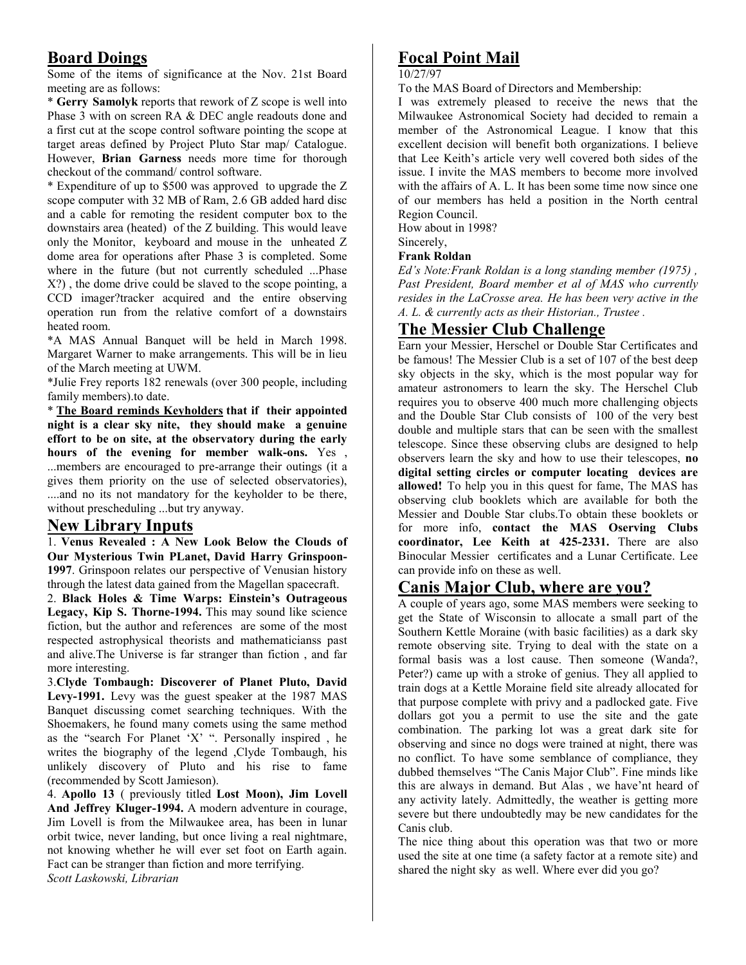# **Board Doings**

Some of the items of significance at the Nov. 21st Board meeting are as follows:

\* **Gerry Samolyk** reports that rework of Z scope is well into Phase 3 with on screen RA & DEC angle readouts done and a first cut at the scope control software pointing the scope at target areas defined by Project Pluto Star map/ Catalogue. However, **Brian Garness** needs more time for thorough checkout of the command/ control software.

\* Expenditure of up to \$500 was approved to upgrade the Z scope computer with 32 MB of Ram, 2.6 GB added hard disc and a cable for remoting the resident computer box to the downstairs area (heated) of the Z building. This would leave only the Monitor, keyboard and mouse in the unheated Z dome area for operations after Phase 3 is completed. Some where in the future (but not currently scheduled ...Phase X?) , the dome drive could be slaved to the scope pointing, a CCD imager?tracker acquired and the entire observing operation run from the relative comfort of a downstairs heated room.

\*A MAS Annual Banquet will be held in March 1998. Margaret Warner to make arrangements. This will be in lieu of the March meeting at UWM.

\*Julie Frey reports 182 renewals (over 300 people, including family members).to date.

\* **The Board reminds Keyholders that if their appointed night is a clear sky nite, they should make a genuine effort to be on site, at the observatory during the early hours of the evening for member walk-ons.** Yes , ...members are encouraged to pre-arrange their outings (it a gives them priority on the use of selected observatories), ....and no its not mandatory for the keyholder to be there, without prescheduling ...but try anyway.

### **New Library Inputs**

1. **Venus Revealed : A New Look Below the Clouds of Our Mysterious Twin PLanet, David Harry Grinspoon-1997**. Grinspoon relates our perspective of Venusian history through the latest data gained from the Magellan spacecraft.

2. **Black Holes & Time Warps: Einstein's Outrageous Legacy, Kip S. Thorne-1994.** This may sound like science fiction, but the author and references are some of the most respected astrophysical theorists and mathematicianss past and alive.The Universe is far stranger than fiction , and far more interesting.

3.**Clyde Tombaugh: Discoverer of Planet Pluto, David Levy-1991.** Levy was the guest speaker at the 1987 MAS Banquet discussing comet searching techniques. With the Shoemakers, he found many comets using the same method as the "search For Planet 'X' ". Personally inspired , he writes the biography of the legend ,Clyde Tombaugh, his unlikely discovery of Pluto and his rise to fame (recommended by Scott Jamieson).

4. **Apollo 13** ( previously titled **Lost Moon), Jim Lovell And Jeffrey Kluger-1994.** A modern adventure in courage, Jim Lovell is from the Milwaukee area, has been in lunar orbit twice, never landing, but once living a real nightmare, not knowing whether he will ever set foot on Earth again. Fact can be stranger than fiction and more terrifying. *Scott Laskowski, Librarian*

# **Focal Point Mail**

### 10/27/97

To the MAS Board of Directors and Membership:

I was extremely pleased to receive the news that the Milwaukee Astronomical Society had decided to remain a member of the Astronomical League. I know that this excellent decision will benefit both organizations. I believe that Lee Keith's article very well covered both sides of the issue. I invite the MAS members to become more involved with the affairs of A. L. It has been some time now since one of our members has held a position in the North central Region Council.

How about in 1998?

# Sincerely,

**Frank Roldan**

*Ed's Note:Frank Roldan is a long standing member (1975) , Past President, Board member et al of MAS who currently resides in the LaCrosse area. He has been very active in the A. L. & currently acts as their Historian., Trustee .*

# **The Messier Club Challenge**

Earn your Messier, Herschel or Double Star Certificates and be famous! The Messier Club is a set of 107 of the best deep sky objects in the sky, which is the most popular way for amateur astronomers to learn the sky. The Herschel Club requires you to observe 400 much more challenging objects and the Double Star Club consists of 100 of the very best double and multiple stars that can be seen with the smallest telescope. Since these observing clubs are designed to help observers learn the sky and how to use their telescopes, **no digital setting circles or computer locating devices are allowed!** To help you in this quest for fame, The MAS has observing club booklets which are available for both the Messier and Double Star clubs.To obtain these booklets or for more info, **contact the MAS Oserving Clubs coordinator, Lee Keith at 425-2331.** There are also Binocular Messier certificates and a Lunar Certificate. Lee can provide info on these as well.

### **Canis Major Club, where are you?**

A couple of years ago, some MAS members were seeking to get the State of Wisconsin to allocate a small part of the Southern Kettle Moraine (with basic facilities) as a dark sky remote observing site. Trying to deal with the state on a formal basis was a lost cause. Then someone (Wanda?, Peter?) came up with a stroke of genius. They all applied to train dogs at a Kettle Moraine field site already allocated for that purpose complete with privy and a padlocked gate. Five dollars got you a permit to use the site and the gate combination. The parking lot was a great dark site for observing and since no dogs were trained at night, there was no conflict. To have some semblance of compliance, they dubbed themselves "The Canis Major Club". Fine minds like this are always in demand. But Alas , we have'nt heard of any activity lately. Admittedly, the weather is getting more severe but there undoubtedly may be new candidates for the Canis club.

The nice thing about this operation was that two or more used the site at one time (a safety factor at a remote site) and shared the night sky as well. Where ever did you go?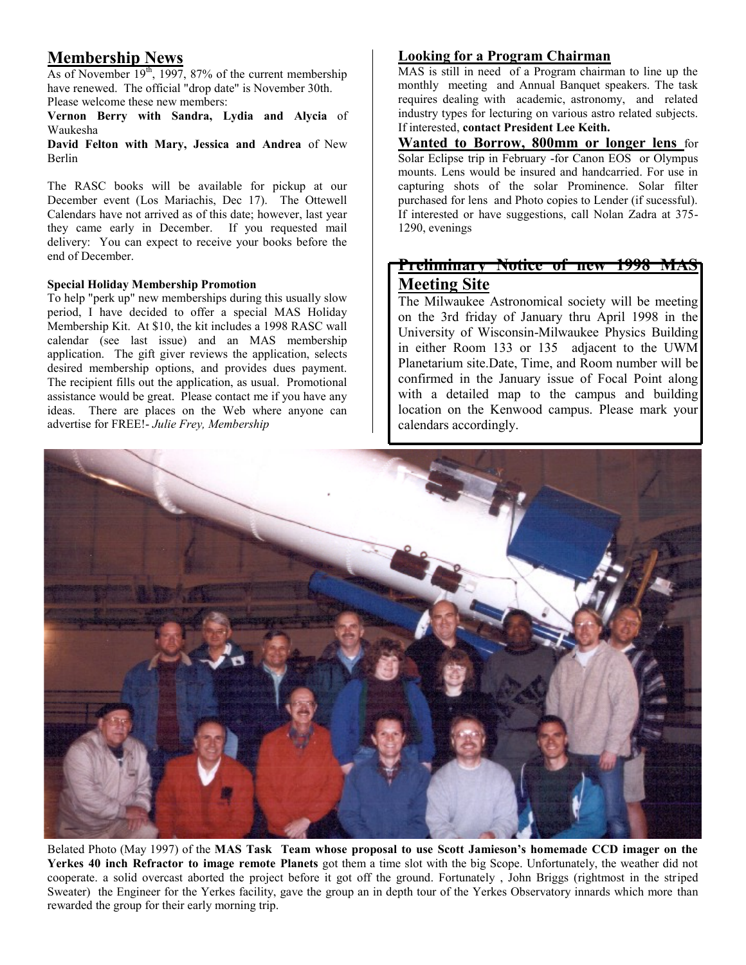# **Membership News**

As of November  $19<sup>th</sup>$ , 1997, 87% of the current membership have renewed. The official "drop date" is November 30th. Please welcome these new members:

**Vernon Berry with Sandra, Lydia and Alycia** of Waukesha

**David Felton with Mary, Jessica and Andrea** of New Berlin

The RASC books will be available for pickup at our December event (Los Mariachis, Dec 17). The Ottewell Calendars have not arrived as of this date; however, last year they came early in December. If you requested mail delivery: You can expect to receive your books before the end of December.

### **Special Holiday Membership Promotion**

To help "perk up" new memberships during this usually slow period, I have decided to offer a special MAS Holiday Membership Kit. At \$10, the kit includes a 1998 RASC wall calendar (see last issue) and an MAS membership application. The gift giver reviews the application, selects desired membership options, and provides dues payment. The recipient fills out the application, as usual. Promotional assistance would be great. Please contact me if you have any ideas. There are places on the Web where anyone can advertise for FREE!- *Julie Frey, Membership*

### **Looking for a Program Chairman**

MAS is still in need of a Program chairman to line up the monthly meeting and Annual Banquet speakers. The task requires dealing with academic, astronomy, and related industry types for lecturing on various astro related subjects. If interested, **contact President Lee Keith.**

**Wanted to Borrow, 800mm or longer lens** for Solar Eclipse trip in February -for Canon EOS or Olympus mounts. Lens would be insured and handcarried. For use in capturing shots of the solar Prominence. Solar filter purchased for lens and Photo copies to Lender (if sucessful). If interested or have suggestions, call Nolan Zadra at 375- 1290, evenings

# **Preliminary Notice of new 1998 MAS Meeting Site**

The Milwaukee Astronomical society will be meeting on the 3rd friday of January thru April 1998 in the University of Wisconsin-Milwaukee Physics Building in either Room 133 or 135 adjacent to the UWM Planetarium site.Date, Time, and Room number will be confirmed in the January issue of Focal Point along with a detailed map to the campus and building location on the Kenwood campus. Please mark your calendars accordingly.



Belated Photo (May 1997) of the **MAS Task Team whose proposal to use Scott Jamieson's homemade CCD imager on the Yerkes 40 inch Refractor to image remote Planets** got them a time slot with the big Scope. Unfortunately, the weather did not cooperate. a solid overcast aborted the project before it got off the ground. Fortunately , John Briggs (rightmost in the striped Sweater) the Engineer for the Yerkes facility, gave the group an in depth tour of the Yerkes Observatory innards which more than rewarded the group for their early morning trip.